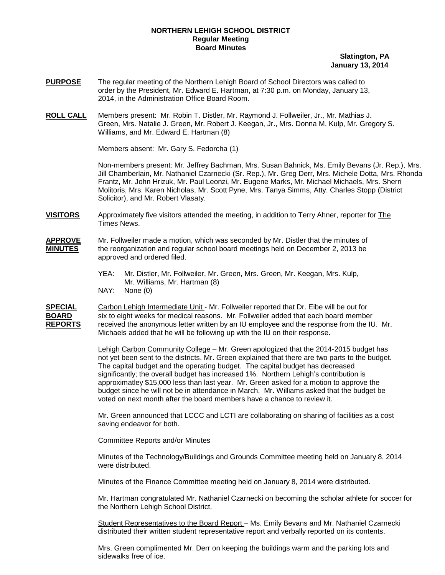### **NORTHERN LEHIGH SCHOOL DISTRICT Regular Meeting Board Minutes**

#### **Slatington, PA January 13, 2014**

- **PURPOSE** The regular meeting of the Northern Lehigh Board of School Directors was called to order by the President, Mr. Edward E. Hartman, at 7:30 p.m. on Monday, January 13, 2014, in the Administration Office Board Room.
- **ROLL CALL** Members present: Mr. Robin T. Distler, Mr. Raymond J. Follweiler, Jr., Mr. Mathias J. Green, Mrs. Natalie J. Green, Mr. Robert J. Keegan, Jr., Mrs. Donna M. Kulp, Mr. Gregory S. Williams, and Mr. Edward E. Hartman (8)

Members absent: Mr. Gary S. Fedorcha (1)

Non-members present: Mr. Jeffrey Bachman, Mrs. Susan Bahnick, Ms. Emily Bevans (Jr. Rep.), Mrs. Jill Chamberlain, Mr. Nathaniel Czarnecki (Sr. Rep.), Mr. Greg Derr, Mrs. Michele Dotta, Mrs. Rhonda Frantz, Mr. John Hrizuk, Mr. Paul Leonzi, Mr. Eugene Marks, Mr. Michael Michaels, Mrs. Sherri Molitoris, Mrs. Karen Nicholas, Mr. Scott Pyne, Mrs. Tanya Simms, Atty. Charles Stopp (District Solicitor), and Mr. Robert Vlasaty.

**VISITORS** Approximately five visitors attended the meeting, in addition to Terry Ahner, reporter for The Times News.

#### **APPROVE** Mr. Follweiler made a motion, which was seconded by Mr. Distler that the minutes of **MINUTES** the reorganization and regular school board meetings held on December 2, 2013 be approved and ordered filed.

YEA: Mr. Distler, Mr. Follweiler, Mr. Green, Mrs. Green, Mr. Keegan, Mrs. Kulp, Mr. Williams, Mr. Hartman (8) NAY: None (0)

**SPECIAL** Carbon Lehigh Intermediate Unit - Mr. Follweiler reported that Dr. Eibe will be out for **BOARD** six to eight weeks for medical reasons. Mr. Follweiler added that each board member<br>**REPORTS** received the anonymous letter written by an IU employee and the response from the IU received the anonymous letter written by an IU employee and the response from the IU. Mr. Michaels added that he will be following up with the IU on their response.

> Lehigh Carbon Community College – Mr. Green apologized that the 2014-2015 budget has not yet been sent to the districts. Mr. Green explained that there are two parts to the budget. The capital budget and the operating budget. The capital budget has decreased significantly; the overall budget has increased 1%. Northern Lehigh's contribution is approximatley \$15,000 less than last year. Mr. Green asked for a motion to approve the budget since he will not be in attendance in March. Mr. Williams asked that the budget be voted on next month after the board members have a chance to review it.

> Mr. Green announced that LCCC and LCTI are collaborating on sharing of facilities as a cost saving endeavor for both.

### Committee Reports and/or Minutes

Minutes of the Technology/Buildings and Grounds Committee meeting held on January 8, 2014 were distributed.

Minutes of the Finance Committee meeting held on January 8, 2014 were distributed.

Mr. Hartman congratulated Mr. Nathaniel Czarnecki on becoming the scholar athlete for soccer for the Northern Lehigh School District.

Student Representatives to the Board Report – Ms. Emily Bevans and Mr. Nathaniel Czarnecki distributed their written student representative report and verbally reported on its contents.

Mrs. Green complimented Mr. Derr on keeping the buildings warm and the parking lots and sidewalks free of ice.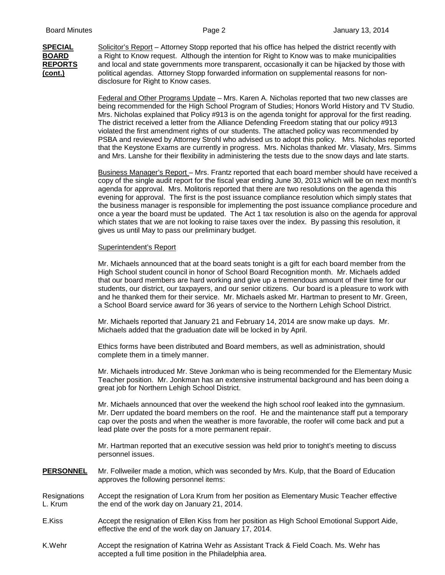**SPECIAL** Solicitor's Report – Attorney Stopp reported that his office has helped the district recently with **BOARD** a Right to Know request. Although the intention for Right to Know was to make municipalities **REPORTS (cont.)** political agendas. Attorney Stopp forwarded information on supplemental reasons for nondisclosure for Right to Know cases. and local and state governments more transparent, occasionally it can be hijacked by those with

> Federal and Other Programs Update – Mrs. Karen A. Nicholas reported that two new classes are being recommended for the High School Program of Studies; Honors World History and TV Studio. Mrs. Nicholas explained that Policy #913 is on the agenda tonight for approval for the first reading. The district received a letter from the Alliance Defending Freedom stating that our policy #913 violated the first amendment rights of our students. The attached policy was recommended by PSBA and reviewed by Attorney Strohl who advised us to adopt this policy. Mrs. Nicholas reported that the Keystone Exams are currently in progress. Mrs. Nicholas thanked Mr. Vlasaty, Mrs. Simms and Mrs. Lanshe for their flexibility in administering the tests due to the snow days and late starts.

> Business Manager's Report – Mrs. Frantz reported that each board member should have received a copy of the single audit report for the fiscal year ending June 30, 2013 which will be on next month's agenda for approval. Mrs. Molitoris reported that there are two resolutions on the agenda this evening for approval. The first is the post issuance compliance resolution which simply states that the business manager is responsible for implementing the post issuance compliance procedure and once a year the board must be updated. The Act 1 tax resolution is also on the agenda for approval which states that we are not looking to raise taxes over the index. By passing this resolution, it gives us until May to pass our preliminary budget.

# Superintendent's Report

Mr. Michaels announced that at the board seats tonight is a gift for each board member from the High School student council in honor of School Board Recognition month. Mr. Michaels added that our board members are hard working and give up a tremendous amount of their time for our students, our district, our taxpayers, and our senior citizens. Our board is a pleasure to work with and he thanked them for their service. Mr. Michaels asked Mr. Hartman to present to Mr. Green, a School Board service award for 36 years of service to the Northern Lehigh School District.

Mr. Michaels reported that January 21 and February 14, 2014 are snow make up days. Mr. Michaels added that the graduation date will be locked in by April.

Ethics forms have been distributed and Board members, as well as administration, should complete them in a timely manner.

Mr. Michaels introduced Mr. Steve Jonkman who is being recommended for the Elementary Music Teacher position. Mr. Jonkman has an extensive instrumental background and has been doing a great job for Northern Lehigh School District.

Mr. Michaels announced that over the weekend the high school roof leaked into the gymnasium. Mr. Derr updated the board members on the roof. He and the maintenance staff put a temporary cap over the posts and when the weather is more favorable, the roofer will come back and put a lead plate over the posts for a more permanent repair.

Mr. Hartman reported that an executive session was held prior to tonight's meeting to discuss personnel issues.

- **PERSONNEL** Mr. Follweiler made a motion, which was seconded by Mrs. Kulp, that the Board of Education approves the following personnel items:
- Resignations Accept the resignation of Lora Krum from her position as Elementary Music Teacher effective L. Krum the end of the work day on January 21, 2014.
- E.Kiss Accept the resignation of Ellen Kiss from her position as High School Emotional Support Aide, effective the end of the work day on January 17, 2014.
- K.Wehr **Accept the resignation of Katrina Wehr as Assistant Track & Field Coach. Ms. Wehr has** accepted a full time position in the Philadelphia area.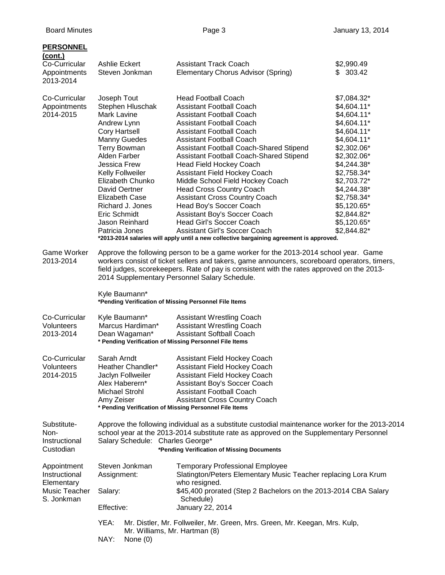| <b>PERSONNEL</b>                                                          |                                                                                                                                                                                                                                                                                                                                     |                       |                                                                                         |                            |  |  |
|---------------------------------------------------------------------------|-------------------------------------------------------------------------------------------------------------------------------------------------------------------------------------------------------------------------------------------------------------------------------------------------------------------------------------|-----------------------|-----------------------------------------------------------------------------------------|----------------------------|--|--|
| (cont.)<br>Co-Curricular                                                  | Ashlie Eckert<br>Steven Jonkman                                                                                                                                                                                                                                                                                                     |                       | <b>Assistant Track Coach</b>                                                            | \$2,990.49                 |  |  |
| Appointments<br>2013-2014                                                 |                                                                                                                                                                                                                                                                                                                                     |                       | Elementary Chorus Advisor (Spring)                                                      | \$303.42                   |  |  |
| Co-Curricular                                                             | Joseph Tout                                                                                                                                                                                                                                                                                                                         |                       | <b>Head Football Coach</b>                                                              | \$7,084.32*                |  |  |
| Appointments                                                              |                                                                                                                                                                                                                                                                                                                                     | Stephen Hluschak      | <b>Assistant Football Coach</b>                                                         | \$4,604.11*                |  |  |
| 2014-2015                                                                 | <b>Mark Lavine</b>                                                                                                                                                                                                                                                                                                                  |                       | <b>Assistant Football Coach</b>                                                         | $$4,604.11*$               |  |  |
|                                                                           | Andrew Lynn                                                                                                                                                                                                                                                                                                                         |                       | <b>Assistant Football Coach</b>                                                         | \$4,604.11*                |  |  |
|                                                                           | <b>Cory Hartsell</b>                                                                                                                                                                                                                                                                                                                |                       | <b>Assistant Football Coach</b>                                                         | \$4,604.11*                |  |  |
|                                                                           | <b>Manny Guedes</b>                                                                                                                                                                                                                                                                                                                 |                       | <b>Assistant Football Coach</b>                                                         | \$4,604.11*                |  |  |
|                                                                           | <b>Terry Bowman</b>                                                                                                                                                                                                                                                                                                                 |                       | Assistant Football Coach-Shared Stipend                                                 | \$2,302.06*                |  |  |
|                                                                           | Alden Farber<br>Jessica Frew                                                                                                                                                                                                                                                                                                        |                       | Assistant Football Coach-Shared Stipend                                                 | \$2,302.06*                |  |  |
|                                                                           |                                                                                                                                                                                                                                                                                                                                     |                       | <b>Head Field Hockey Coach</b>                                                          | \$4,244.38*                |  |  |
|                                                                           | Kelly Follweiler<br>Elizabeth Chunko                                                                                                                                                                                                                                                                                                |                       | Assistant Field Hockey Coach<br>Middle School Field Hockey Coach                        | \$2,758.34*<br>\$2,703.72* |  |  |
|                                                                           | David Oertner                                                                                                                                                                                                                                                                                                                       |                       | <b>Head Cross Country Coach</b>                                                         | \$4,244.38*                |  |  |
|                                                                           |                                                                                                                                                                                                                                                                                                                                     | <b>Elizabeth Case</b> | <b>Assistant Cross Country Coach</b>                                                    | \$2,758.34*                |  |  |
|                                                                           |                                                                                                                                                                                                                                                                                                                                     | Richard J. Jones      | Head Boy's Soccer Coach                                                                 | \$5,120.65*                |  |  |
|                                                                           | Eric Schmidt                                                                                                                                                                                                                                                                                                                        |                       | Assistant Boy's Soccer Coach                                                            | \$2,844.82*                |  |  |
|                                                                           |                                                                                                                                                                                                                                                                                                                                     | Jason Reinhard        | Head Girl's Soccer Coach                                                                | \$5,120.65*                |  |  |
|                                                                           | Patricia Jones                                                                                                                                                                                                                                                                                                                      |                       | <b>Assistant Girl's Soccer Coach</b>                                                    | \$2,844.82*                |  |  |
|                                                                           |                                                                                                                                                                                                                                                                                                                                     |                       | *2013-2014 salaries will apply until a new collective bargaining agreement is approved. |                            |  |  |
| <b>Game Worker</b><br>2013-2014                                           | Approve the following person to be a game worker for the 2013-2014 school year. Game<br>workers consist of ticket sellers and takers, game announcers, scoreboard operators, timers,<br>field judges, scorekeepers. Rate of pay is consistent with the rates approved on the 2013-<br>2014 Supplementary Personnel Salary Schedule. |                       |                                                                                         |                            |  |  |
|                                                                           | Kyle Baumann*<br>*Pending Verification of Missing Personnel File Items                                                                                                                                                                                                                                                              |                       |                                                                                         |                            |  |  |
| Co-Curricular                                                             |                                                                                                                                                                                                                                                                                                                                     | Kyle Baumann*         | <b>Assistant Wrestling Coach</b>                                                        |                            |  |  |
| <b>Volunteers</b>                                                         | Marcus Hardiman*<br><b>Assistant Wrestling Coach</b>                                                                                                                                                                                                                                                                                |                       |                                                                                         |                            |  |  |
| 2013-2014                                                                 | <b>Assistant Softball Coach</b><br>Dean Wagaman*<br>* Pending Verification of Missing Personnel File Items                                                                                                                                                                                                                          |                       |                                                                                         |                            |  |  |
| Co-Curricular                                                             | Sarah Arndt                                                                                                                                                                                                                                                                                                                         |                       | Assistant Field Hockey Coach                                                            |                            |  |  |
| Volunteers                                                                |                                                                                                                                                                                                                                                                                                                                     | Heather Chandler*     | Assistant Field Hockey Coach                                                            |                            |  |  |
| 2014-2015                                                                 |                                                                                                                                                                                                                                                                                                                                     | Jaclyn Follweiler     | <b>Assistant Field Hockey Coach</b>                                                     |                            |  |  |
|                                                                           |                                                                                                                                                                                                                                                                                                                                     | Alex Haberern*        | Assistant Boy's Soccer Coach                                                            |                            |  |  |
|                                                                           | <b>Michael Strohl</b>                                                                                                                                                                                                                                                                                                               |                       | <b>Assistant Football Coach</b>                                                         |                            |  |  |
|                                                                           | Amy Zeiser                                                                                                                                                                                                                                                                                                                          |                       | <b>Assistant Cross Country Coach</b>                                                    |                            |  |  |
|                                                                           | * Pending Verification of Missing Personnel File Items                                                                                                                                                                                                                                                                              |                       |                                                                                         |                            |  |  |
| Substitute-<br>Non-<br>Instructional<br>Custodian                         | Approve the following individual as a substitute custodial maintenance worker for the 2013-2014<br>school year at the 2013-2014 substitute rate as approved on the Supplementary Personnel<br>Salary Schedule: Charles George*<br>*Pending Verification of Missing Documents                                                        |                       |                                                                                         |                            |  |  |
|                                                                           |                                                                                                                                                                                                                                                                                                                                     |                       | <b>Temporary Professional Employee</b>                                                  |                            |  |  |
| Appointment<br>Instructional<br>Elementary<br>Music Teacher<br>S. Jonkman | Steven Jonkman<br>Assignment:                                                                                                                                                                                                                                                                                                       |                       | Slatington/Peters Elementary Music Teacher replacing Lora Krum<br>who resigned.         |                            |  |  |
|                                                                           | Salary:                                                                                                                                                                                                                                                                                                                             |                       | \$45,400 prorated (Step 2 Bachelors on the 2013-2014 CBA Salary<br>Schedule)            |                            |  |  |
|                                                                           | Effective:                                                                                                                                                                                                                                                                                                                          |                       | January 22, 2014                                                                        |                            |  |  |
|                                                                           | YEA:<br>Mr. Distler, Mr. Follweiler, Mr. Green, Mrs. Green, Mr. Keegan, Mrs. Kulp,<br>Mr. Williams, Mr. Hartman (8)                                                                                                                                                                                                                 |                       |                                                                                         |                            |  |  |
|                                                                           | NAY:                                                                                                                                                                                                                                                                                                                                | None $(0)$            |                                                                                         |                            |  |  |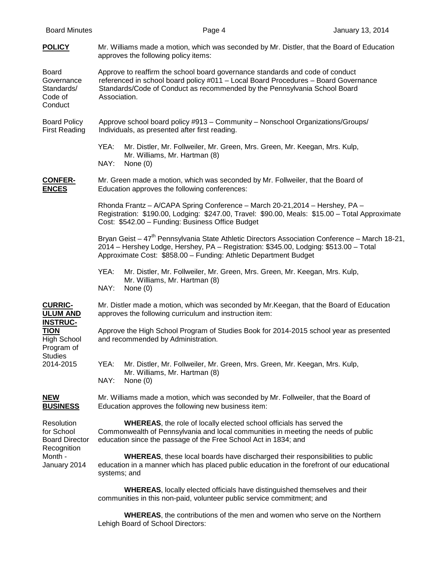| <b>Board Minutes</b>                                                                                                                   | Page 4                                                                                                                                                                                                                                                                  |                                                                                   | January 13, 2014 |  |  |  |
|----------------------------------------------------------------------------------------------------------------------------------------|-------------------------------------------------------------------------------------------------------------------------------------------------------------------------------------------------------------------------------------------------------------------------|-----------------------------------------------------------------------------------|------------------|--|--|--|
| <b>POLICY</b>                                                                                                                          | Mr. Williams made a motion, which was seconded by Mr. Distler, that the Board of Education<br>approves the following policy items:                                                                                                                                      |                                                                                   |                  |  |  |  |
| Board<br>Governance<br>Standards/<br>Code of<br>Conduct                                                                                | Approve to reaffirm the school board governance standards and code of conduct<br>referenced in school board policy #011 - Local Board Procedures - Board Governance<br>Standards/Code of Conduct as recommended by the Pennsylvania School Board<br>Association.        |                                                                                   |                  |  |  |  |
| <b>Board Policy</b><br><b>First Reading</b>                                                                                            | Approve school board policy #913 - Community - Nonschool Organizations/Groups/<br>Individuals, as presented after first reading.                                                                                                                                        |                                                                                   |                  |  |  |  |
|                                                                                                                                        | YEA:<br>Mr. Williams, Mr. Hartman (8)<br>NAY:<br>None $(0)$                                                                                                                                                                                                             | Mr. Distler, Mr. Follweiler, Mr. Green, Mrs. Green, Mr. Keegan, Mrs. Kulp,        |                  |  |  |  |
| <b>CONFER-</b><br><b>ENCES</b>                                                                                                         | Mr. Green made a motion, which was seconded by Mr. Follweiler, that the Board of<br>Education approves the following conferences:                                                                                                                                       |                                                                                   |                  |  |  |  |
|                                                                                                                                        | Rhonda Frantz - A/CAPA Spring Conference - March 20-21, 2014 - Hershey, PA -<br>Registration: \$190.00, Lodging: \$247.00, Travel: \$90.00, Meals: \$15.00 - Total Approximate<br>Cost: \$542.00 - Funding: Business Office Budget                                      |                                                                                   |                  |  |  |  |
|                                                                                                                                        | Bryan Geist – 47 <sup>th</sup> Pennsylvania State Athletic Directors Association Conference – March 18-21,<br>2014 – Hershey Lodge, Hershey, PA – Registration: \$345.00, Lodging: \$513.00 – Total<br>Approximate Cost: \$858.00 - Funding: Athletic Department Budget |                                                                                   |                  |  |  |  |
|                                                                                                                                        | YEA:<br>Mr. Williams, Mr. Hartman (8)<br>NAY:<br>None $(0)$                                                                                                                                                                                                             | Mr. Distler, Mr. Follweiler, Mr. Green, Mrs. Green, Mr. Keegan, Mrs. Kulp,        |                  |  |  |  |
| <b>CURRIC-</b><br><b>ULUM AND</b><br><b>INSTRUC-</b><br><b>TION</b><br><b>High School</b><br>Program of<br><b>Studies</b><br>2014-2015 | Mr. Distler made a motion, which was seconded by Mr. Keegan, that the Board of Education<br>approves the following curriculum and instruction item:                                                                                                                     |                                                                                   |                  |  |  |  |
|                                                                                                                                        | Approve the High School Program of Studies Book for 2014-2015 school year as presented<br>and recommended by Administration.                                                                                                                                            |                                                                                   |                  |  |  |  |
|                                                                                                                                        | YEA:<br>Mr. Williams, Mr. Hartman (8)<br>NAY:<br>None $(0)$                                                                                                                                                                                                             | Mr. Distler, Mr. Follweiler, Mr. Green, Mrs. Green, Mr. Keegan, Mrs. Kulp,        |                  |  |  |  |
| <b>NEW</b><br><b>BUSINESS</b>                                                                                                          | Mr. Williams made a motion, which was seconded by Mr. Follweiler, that the Board of<br>Education approves the following new business item:                                                                                                                              |                                                                                   |                  |  |  |  |
| Resolution<br>for School<br><b>Board Director</b><br>Recognition<br>Month -<br>January 2014                                            | Commonwealth of Pennsylvania and local communities in meeting the needs of public<br>education since the passage of the Free School Act in 1834; and                                                                                                                    | <b>WHEREAS, the role of locally elected school officials has served the</b>       |                  |  |  |  |
|                                                                                                                                        | <b>WHEREAS, these local boards have discharged their responsibilities to public</b><br>education in a manner which has placed public education in the forefront of our educational<br>systems; and                                                                      |                                                                                   |                  |  |  |  |
|                                                                                                                                        | communities in this non-paid, volunteer public service commitment; and                                                                                                                                                                                                  | <b>WHEREAS, locally elected officials have distinguished themselves and their</b> |                  |  |  |  |
|                                                                                                                                        | Lehigh Board of School Directors:                                                                                                                                                                                                                                       | <b>WHEREAS, the contributions of the men and women who serve on the Northern</b>  |                  |  |  |  |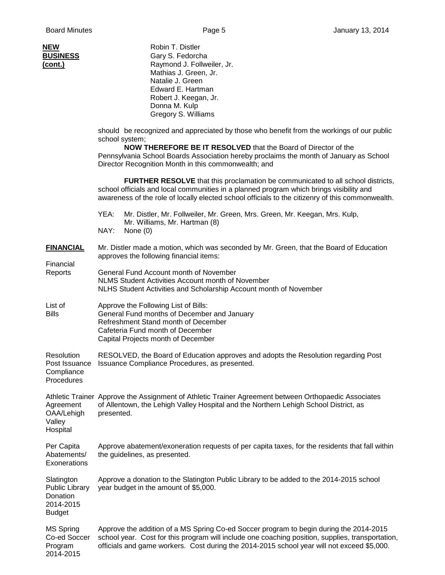| NEW<br><b>BUSINESS</b><br><u>(cont.)</u>                                      | Robin T. Distler<br>Gary S. Fedorcha<br>Raymond J. Follweiler, Jr.<br>Mathias J. Green, Jr.<br>Natalie J. Green<br>Edward E. Hartman<br>Robert J. Keegan, Jr.<br>Donna M. Kulp<br>Gregory S. Williams<br>should be recognized and appreciated by those who benefit from the workings of our public<br>school system;<br><b>NOW THEREFORE BE IT RESOLVED</b> that the Board of Director of the<br>Pennsylvania School Boards Association hereby proclaims the month of January as School<br>Director Recognition Month in this commonwealth; and |  |  |  |  |  |
|-------------------------------------------------------------------------------|-------------------------------------------------------------------------------------------------------------------------------------------------------------------------------------------------------------------------------------------------------------------------------------------------------------------------------------------------------------------------------------------------------------------------------------------------------------------------------------------------------------------------------------------------|--|--|--|--|--|
|                                                                               |                                                                                                                                                                                                                                                                                                                                                                                                                                                                                                                                                 |  |  |  |  |  |
|                                                                               | <b>FURTHER RESOLVE</b> that this proclamation be communicated to all school districts,<br>school officials and local communities in a planned program which brings visibility and<br>awareness of the role of locally elected school officials to the citizenry of this commonwealth.                                                                                                                                                                                                                                                           |  |  |  |  |  |
|                                                                               | YEA:<br>Mr. Distler, Mr. Follweiler, Mr. Green, Mrs. Green, Mr. Keegan, Mrs. Kulp,<br>Mr. Williams, Mr. Hartman (8)<br>NAY:<br>None $(0)$                                                                                                                                                                                                                                                                                                                                                                                                       |  |  |  |  |  |
| <b>FINANCIAL</b>                                                              | Mr. Distler made a motion, which was seconded by Mr. Green, that the Board of Education<br>approves the following financial items:                                                                                                                                                                                                                                                                                                                                                                                                              |  |  |  |  |  |
| Financial<br>Reports                                                          | General Fund Account month of November<br><b>NLMS Student Activities Account month of November</b><br>NLHS Student Activities and Scholarship Account month of November                                                                                                                                                                                                                                                                                                                                                                         |  |  |  |  |  |
| List of<br><b>Bills</b>                                                       | Approve the Following List of Bills:<br>General Fund months of December and January<br>Refreshment Stand month of December<br>Cafeteria Fund month of December<br>Capital Projects month of December                                                                                                                                                                                                                                                                                                                                            |  |  |  |  |  |
| Resolution<br>Post Issuance<br>Compliance<br>Procedures                       | RESOLVED, the Board of Education approves and adopts the Resolution regarding Post<br>Issuance Compliance Procedures, as presented.                                                                                                                                                                                                                                                                                                                                                                                                             |  |  |  |  |  |
| Agreement<br>OAA/Lehigh<br>Valley<br>Hospital                                 | Athletic Trainer Approve the Assignment of Athletic Trainer Agreement between Orthopaedic Associates<br>of Allentown, the Lehigh Valley Hospital and the Northern Lehigh School District, as<br>presented.                                                                                                                                                                                                                                                                                                                                      |  |  |  |  |  |
| Per Capita<br>Abatements/<br>Exonerations                                     | Approve abatement/exoneration requests of per capita taxes, for the residents that fall within<br>the guidelines, as presented.                                                                                                                                                                                                                                                                                                                                                                                                                 |  |  |  |  |  |
| Slatington<br><b>Public Library</b><br>Donation<br>2014-2015<br><b>Budget</b> | Approve a donation to the Slatington Public Library to be added to the 2014-2015 school<br>year budget in the amount of \$5,000.                                                                                                                                                                                                                                                                                                                                                                                                                |  |  |  |  |  |
| <b>MS Spring</b><br>Co-ed Soccer<br>Program<br>2014-2015                      | Approve the addition of a MS Spring Co-ed Soccer program to begin during the 2014-2015<br>school year. Cost for this program will include one coaching position, supplies, transportation,<br>officials and game workers. Cost during the 2014-2015 school year will not exceed \$5,000.                                                                                                                                                                                                                                                        |  |  |  |  |  |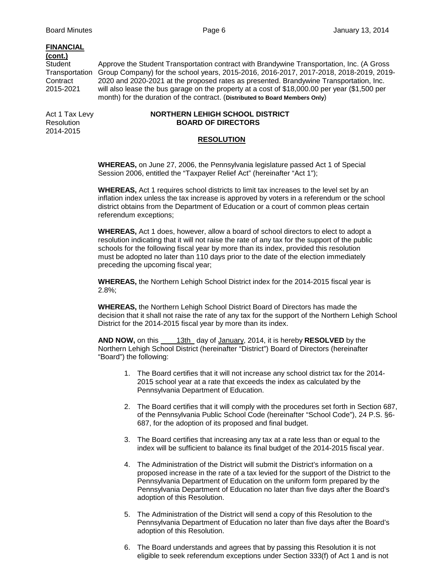# **FINANCIAL**

# **(cont.)**

Transportation Group Company) for the school years, 2015-2016, 2016-2017, 2017-2018, 2018-2019, 2019- Contract 2020 and 2020-2021 at the proposed rates as presented. Brandywine Transportation, Inc.<br>2015-2021 will also lease the bus garage on the property at a cost of \$18,000,00 per year (\$1,500 per

2014-2015

# Act 1 Tax Levy **NORTHERN LEHIGH SCHOOL DISTRICT** Resolution **BOARD OF DIRECTORS**

month) for the duration of the contract. (**Distributed to Board Members Only**)

# **RESOLUTION**

**WHEREAS,** on June 27, 2006, the Pennsylvania legislature passed Act 1 of Special Session 2006, entitled the "Taxpayer Relief Act" (hereinafter "Act 1");

**WHEREAS,** Act 1 requires school districts to limit tax increases to the level set by an inflation index unless the tax increase is approved by voters in a referendum or the school district obtains from the Department of Education or a court of common pleas certain referendum exceptions;

Approve the Student Transportation contract with Brandywine Transportation, Inc. (A Gross

will also lease the bus garage on the property at a cost of \$18,000.00 per year (\$1,500 per

**WHEREAS,** Act 1 does, however, allow a board of school directors to elect to adopt a resolution indicating that it will not raise the rate of any tax for the support of the public schools for the following fiscal year by more than its index, provided this resolution must be adopted no later than 110 days prior to the date of the election immediately preceding the upcoming fiscal year;

**WHEREAS,** the Northern Lehigh School District index for the 2014-2015 fiscal year is 2.8%;

**WHEREAS,** the Northern Lehigh School District Board of Directors has made the decision that it shall not raise the rate of any tax for the support of the Northern Lehigh School District for the 2014-2015 fiscal year by more than its index.

**AND NOW,** on this 13th day of January, 2014, it is hereby **RESOLVED** by the Northern Lehigh School District (hereinafter "District") Board of Directors (hereinafter "Board") the following:

- 1. The Board certifies that it will not increase any school district tax for the 2014- 2015 school year at a rate that exceeds the index as calculated by the Pennsylvania Department of Education.
- 2. The Board certifies that it will comply with the procedures set forth in Section 687, of the Pennsylvania Public School Code (hereinafter "School Code"), 24 P.S. §6- 687, for the adoption of its proposed and final budget.
- 3. The Board certifies that increasing any tax at a rate less than or equal to the index will be sufficient to balance its final budget of the 2014-2015 fiscal year.
- 4. The Administration of the District will submit the District's information on a proposed increase in the rate of a tax levied for the support of the District to the Pennsylvania Department of Education on the uniform form prepared by the Pennsylvania Department of Education no later than five days after the Board's adoption of this Resolution.
- 5. The Administration of the District will send a copy of this Resolution to the Pennsylvania Department of Education no later than five days after the Board's adoption of this Resolution.
- 6. The Board understands and agrees that by passing this Resolution it is not eligible to seek referendum exceptions under Section 333(f) of Act 1 and is not